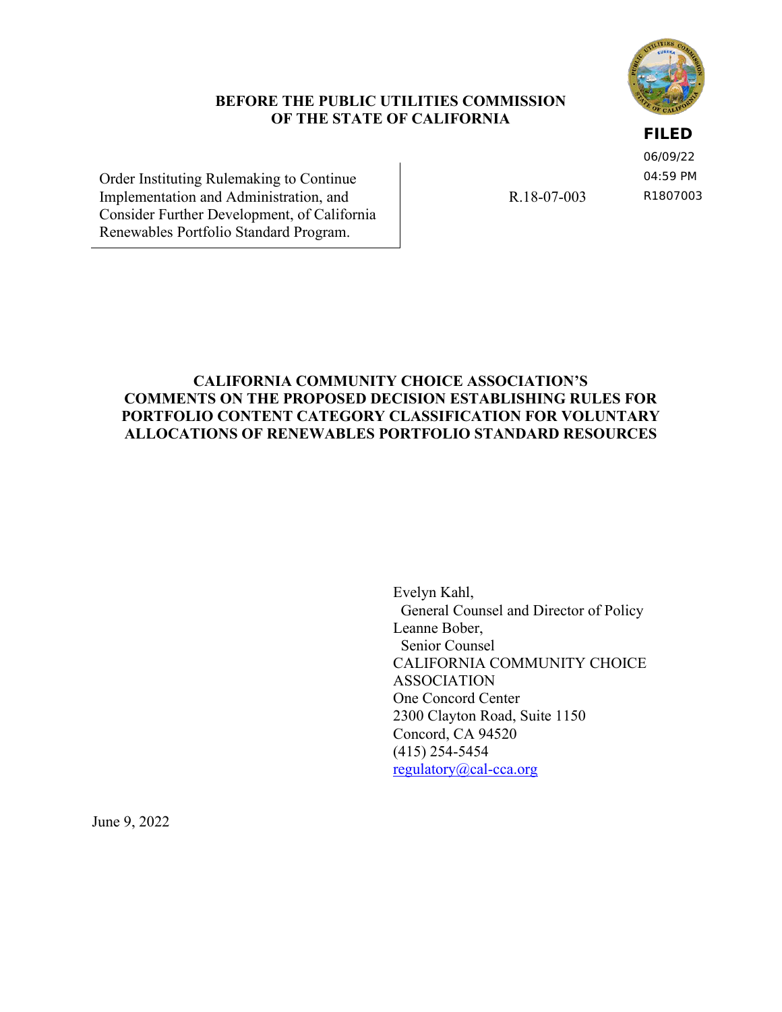

#### **BEFORE THE PUBLIC UTILITIES COMMISSION OF THE STATE OF CALIFORNIA**

## **FILED**

06/09/22 04:59 PM R1807003

Order Instituting Rulemaking to Continue Implementation and Administration, and Consider Further Development, of California Renewables Portfolio Standard Program.

R.18-07-003

## **CALIFORNIA COMMUNITY CHOICE ASSOCIATION'S COMMENTS ON THE PROPOSED DECISION ESTABLISHING RULES FOR PORTFOLIO CONTENT CATEGORY CLASSIFICATION FOR VOLUNTARY ALLOCATIONS OF RENEWABLES PORTFOLIO STANDARD RESOURCES**

Evelyn Kahl, General Counsel and Director of Policy Leanne Bober, Senior Counsel CALIFORNIA COMMUNITY CHOICE ASSOCIATION One Concord Center 2300 Clayton Road, Suite 1150 Concord, CA 94520 (415) 254-5454 [regulatory@cal-cca.org](mailto:regulatory@cal-cca.org)

June 9, 2022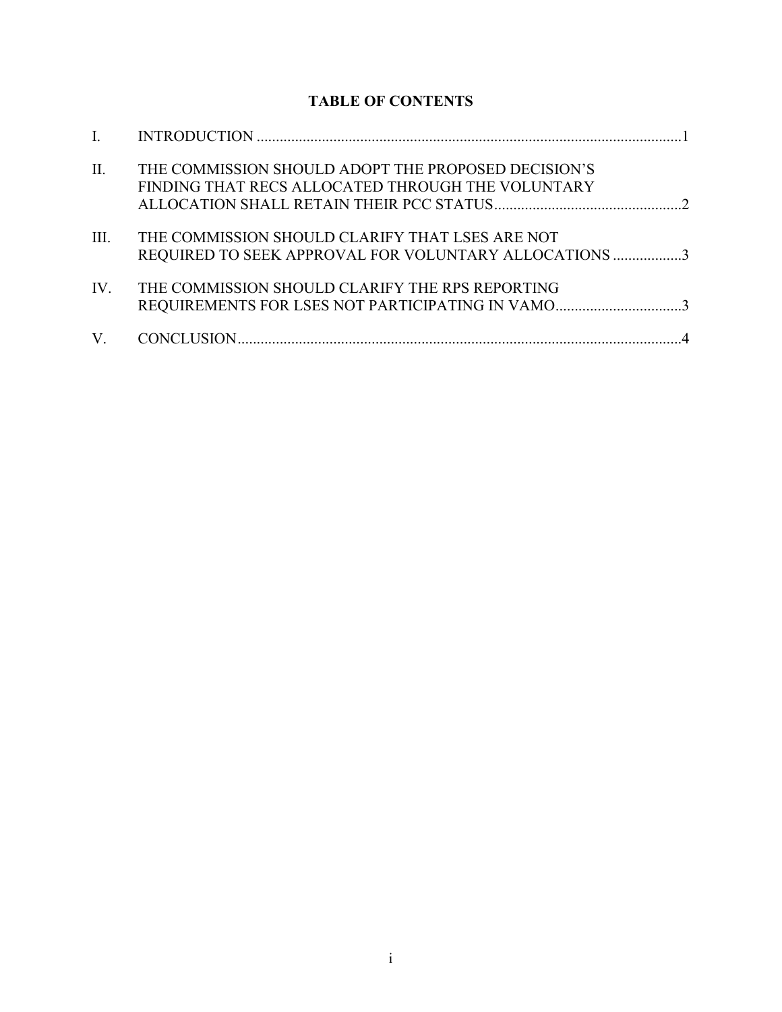# **TABLE OF CONTENTS**

| П.   | THE COMMISSION SHOULD ADOPT THE PROPOSED DECISION'S<br>FINDING THAT RECS ALLOCATED THROUGH THE VOLUNTARY |
|------|----------------------------------------------------------------------------------------------------------|
| III. | THE COMMISSION SHOULD CLARIFY THAT LSES ARE NOT<br>REQUIRED TO SEEK APPROVAL FOR VOLUNTARY ALLOCATIONS 3 |
| IV.  | THE COMMISSION SHOULD CLARIFY THE RPS REPORTING<br>REQUIREMENTS FOR LSES NOT PARTICIPATING IN VAMO3      |
| V.   |                                                                                                          |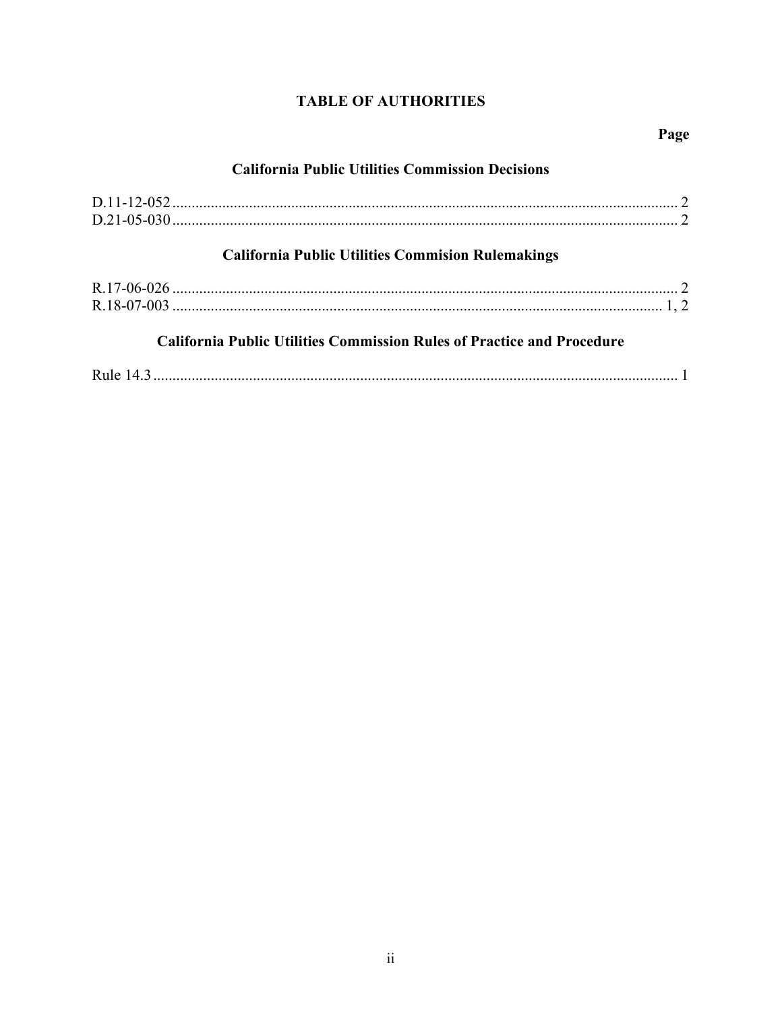## **TABLE OF AUTHORITIES**

## **California Public Utilities Commission Decisions**

| <b>California Public Utilities Commision Rulemakings</b>                      |  |  |
|-------------------------------------------------------------------------------|--|--|
|                                                                               |  |  |
|                                                                               |  |  |
| <b>California Public Utilities Commission Rules of Practice and Procedure</b> |  |  |
|                                                                               |  |  |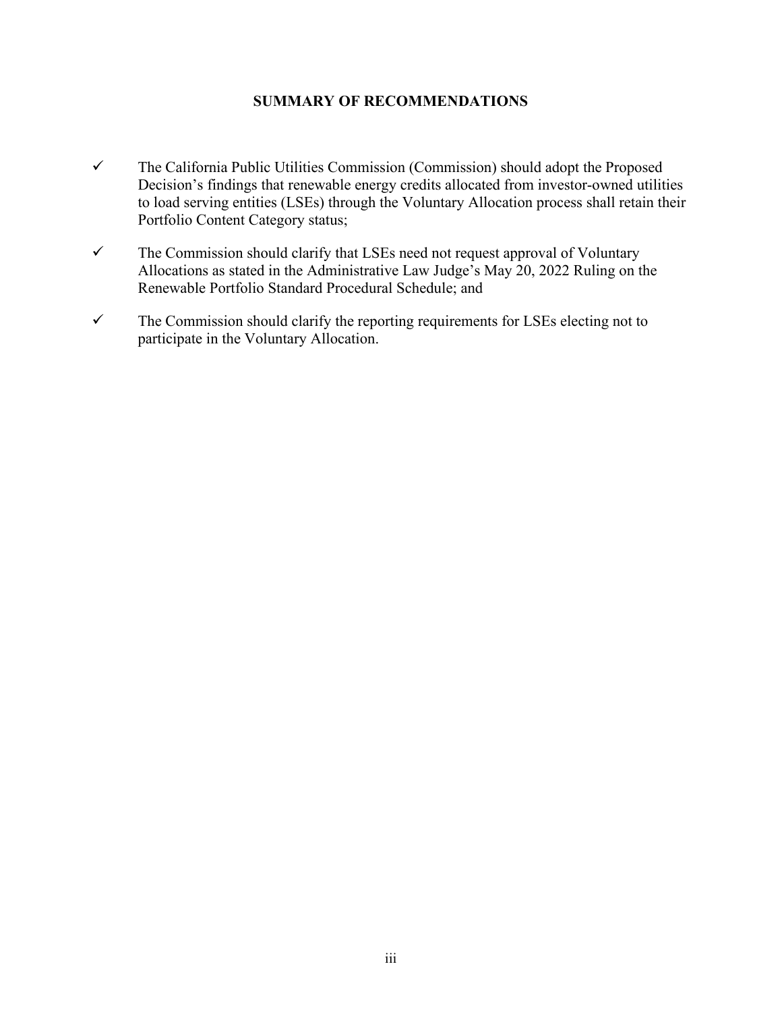## **SUMMARY OF RECOMMENDATIONS**

- $\checkmark$  The California Public Utilities Commission (Commission) should adopt the Proposed Decision's findings that renewable energy credits allocated from investor-owned utilities to load serving entities (LSEs) through the Voluntary Allocation process shall retain their Portfolio Content Category status;
- $\checkmark$  The Commission should clarify that LSEs need not request approval of Voluntary Allocations as stated in the Administrative Law Judge's May 20, 2022 Ruling on the Renewable Portfolio Standard Procedural Schedule; and
- $\checkmark$  The Commission should clarify the reporting requirements for LSEs electing not to participate in the Voluntary Allocation.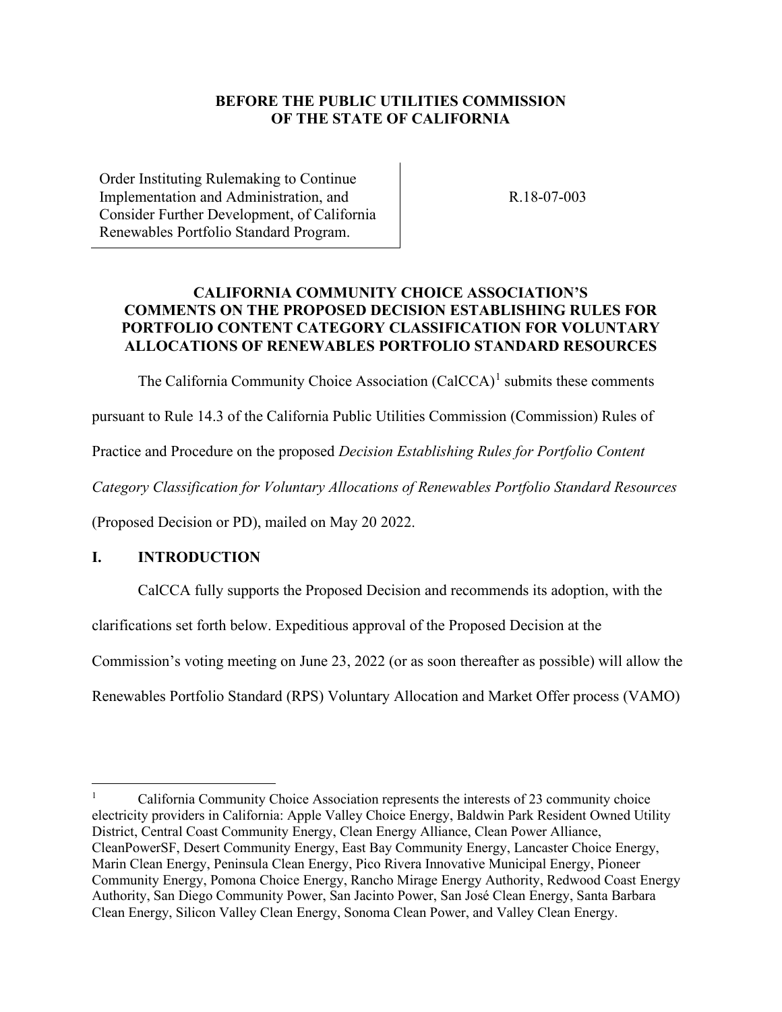## **BEFORE THE PUBLIC UTILITIES COMMISSION OF THE STATE OF CALIFORNIA**

Order Instituting Rulemaking to Continue Implementation and Administration, and Consider Further Development, of California Renewables Portfolio Standard Program.

R.18-07-003

## **CALIFORNIA COMMUNITY CHOICE ASSOCIATION'S COMMENTS ON THE PROPOSED DECISION ESTABLISHING RULES FOR PORTFOLIO CONTENT CATEGORY CLASSIFICATION FOR VOLUNTARY ALLOCATIONS OF RENEWABLES PORTFOLIO STANDARD RESOURCES**

The California Community Choice Association  $(CaICCA)^1$  $(CaICCA)^1$  submits these comments

pursuant to Rule 14.3 of the California Public Utilities Commission (Commission) Rules of

Practice and Procedure on the proposed *Decision Establishing Rules for Portfolio Content* 

*Category Classification for Voluntary Allocations of Renewables Portfolio Standard Resources* 

(Proposed Decision or PD), mailed on May 20 2022.

#### <span id="page-4-0"></span>**I. INTRODUCTION**

CalCCA fully supports the Proposed Decision and recommends its adoption, with the

clarifications set forth below. Expeditious approval of the Proposed Decision at the

Commission's voting meeting on June 23, 2022 (or as soon thereafter as possible) will allow the

Renewables Portfolio Standard (RPS) Voluntary Allocation and Market Offer process (VAMO)

<span id="page-4-1"></span><sup>1</sup> California Community Choice Association represents the interests of 23 community choice electricity providers in California: Apple Valley Choice Energy, Baldwin Park Resident Owned Utility District, Central Coast Community Energy, Clean Energy Alliance, Clean Power Alliance, CleanPowerSF, Desert Community Energy, East Bay Community Energy, Lancaster Choice Energy, Marin Clean Energy, Peninsula Clean Energy, Pico Rivera Innovative Municipal Energy, Pioneer Community Energy, Pomona Choice Energy, Rancho Mirage Energy Authority, Redwood Coast Energy Authority, San Diego Community Power, San Jacinto Power, San José Clean Energy, Santa Barbara Clean Energy, Silicon Valley Clean Energy, Sonoma Clean Power, and Valley Clean Energy.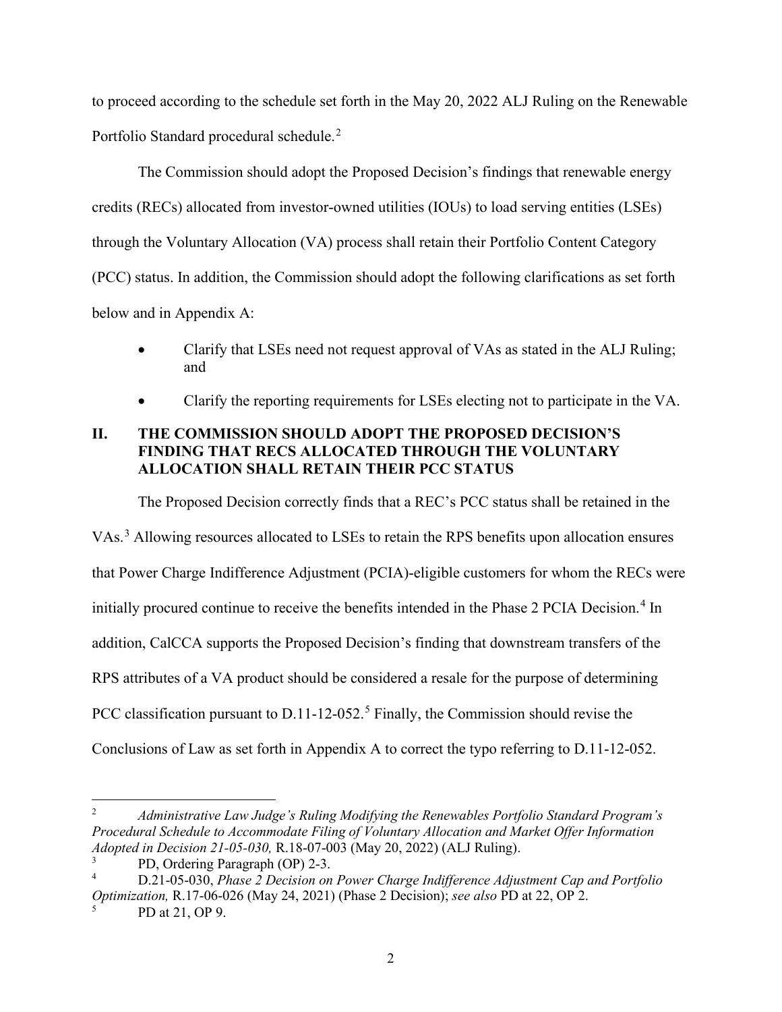to proceed according to the schedule set forth in the May 20, 2022 ALJ Ruling on the Renewable Portfolio Standard procedural schedule.<sup>[2](#page-5-1)</sup>

The Commission should adopt the Proposed Decision's findings that renewable energy credits (RECs) allocated from investor-owned utilities (IOUs) to load serving entities (LSEs) through the Voluntary Allocation (VA) process shall retain their Portfolio Content Category (PCC) status. In addition, the Commission should adopt the following clarifications as set forth below and in Appendix A:

- Clarify that LSEs need not request approval of VAs as stated in the ALJ Ruling; and
- Clarify the reporting requirements for LSEs electing not to participate in the VA.

## <span id="page-5-0"></span>**II. THE COMMISSION SHOULD ADOPT THE PROPOSED DECISION'S FINDING THAT RECS ALLOCATED THROUGH THE VOLUNTARY ALLOCATION SHALL RETAIN THEIR PCC STATUS**

The Proposed Decision correctly finds that a REC's PCC status shall be retained in the

VAs. [3](#page-5-2) Allowing resources allocated to LSEs to retain the RPS benefits upon allocation ensures that Power Charge Indifference Adjustment (PCIA)-eligible customers for whom the RECs were initially procured continue to receive the benefits intended in the Phase 2 PCIA Decision.<sup>[4](#page-5-3)</sup> In addition, CalCCA supports the Proposed Decision's finding that downstream transfers of the RPS attributes of a VA product should be considered a resale for the purpose of determining PCC classification pursuant to  $D.11$ -12-0[5](#page-5-4)2.<sup>5</sup> Finally, the Commission should revise the Conclusions of Law as set forth in Appendix A to correct the typo referring to D.11-12-052.

<span id="page-5-1"></span><sup>2</sup> *Administrative Law Judge's Ruling Modifying the Renewables Portfolio Standard Program's Procedural Schedule to Accommodate Filing of Voluntary Allocation and Market Offer Information Adopted in Decision 21-05-030,* R.18-07-003 (May 20, 2022) (ALJ Ruling).

<span id="page-5-3"></span><span id="page-5-2"></span><sup>3</sup> PD, Ordering Paragraph (OP) 2-3.

<sup>4</sup> D.21-05-030, *Phase 2 Decision on Power Charge Indifference Adjustment Cap and Portfolio Optimization,* R.17-06-026 (May 24, 2021) (Phase 2 Decision); *see also* PD at 22, OP 2.

<span id="page-5-4"></span><sup>5</sup> PD at 21, OP 9.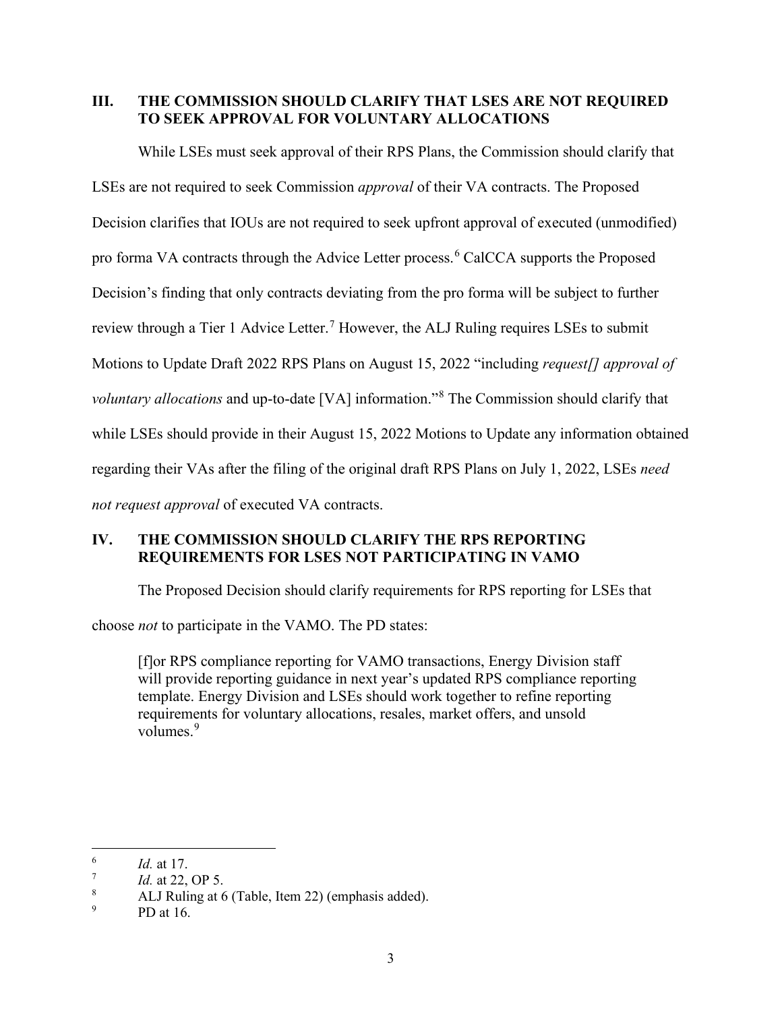## <span id="page-6-0"></span>**III. THE COMMISSION SHOULD CLARIFY THAT LSES ARE NOT REQUIRED TO SEEK APPROVAL FOR VOLUNTARY ALLOCATIONS**

While LSEs must seek approval of their RPS Plans, the Commission should clarify that LSEs are not required to seek Commission *approval* of their VA contracts. The Proposed Decision clarifies that IOUs are not required to seek upfront approval of executed (unmodified) pro forma VA contracts through the Advice Letter process.<sup>[6](#page-6-2)</sup> CalCCA supports the Proposed Decision's finding that only contracts deviating from the pro forma will be subject to further review through a Tier 1 Advice Letter.<sup>[7](#page-6-3)</sup> However, the ALJ Ruling requires LSEs to submit Motions to Update Draft 2022 RPS Plans on August 15, 2022 "including *request[] approval of voluntary allocations* and up-to-date [VA] information."[8](#page-6-4) The Commission should clarify that while LSEs should provide in their August 15, 2022 Motions to Update any information obtained regarding their VAs after the filing of the original draft RPS Plans on July 1, 2022, LSEs *need not request approval* of executed VA contracts.

## <span id="page-6-1"></span>**IV. THE COMMISSION SHOULD CLARIFY THE RPS REPORTING REQUIREMENTS FOR LSES NOT PARTICIPATING IN VAMO**

The Proposed Decision should clarify requirements for RPS reporting for LSEs that

choose *not* to participate in the VAMO. The PD states:

[f]or RPS compliance reporting for VAMO transactions, Energy Division staff will provide reporting guidance in next year's updated RPS compliance reporting template. Energy Division and LSEs should work together to refine reporting requirements for voluntary allocations, resales, market offers, and unsold volumes.<sup>[9](#page-6-5)</sup>

<span id="page-6-2"></span><sup>6</sup> *Id.* at 17.

<span id="page-6-3"></span><sup>7</sup> *Id.* at 22, OP 5.

<span id="page-6-4"></span><sup>8</sup> ALJ Ruling at 6 (Table, Item 22) (emphasis added).

<span id="page-6-5"></span><sup>9</sup> PD at 16.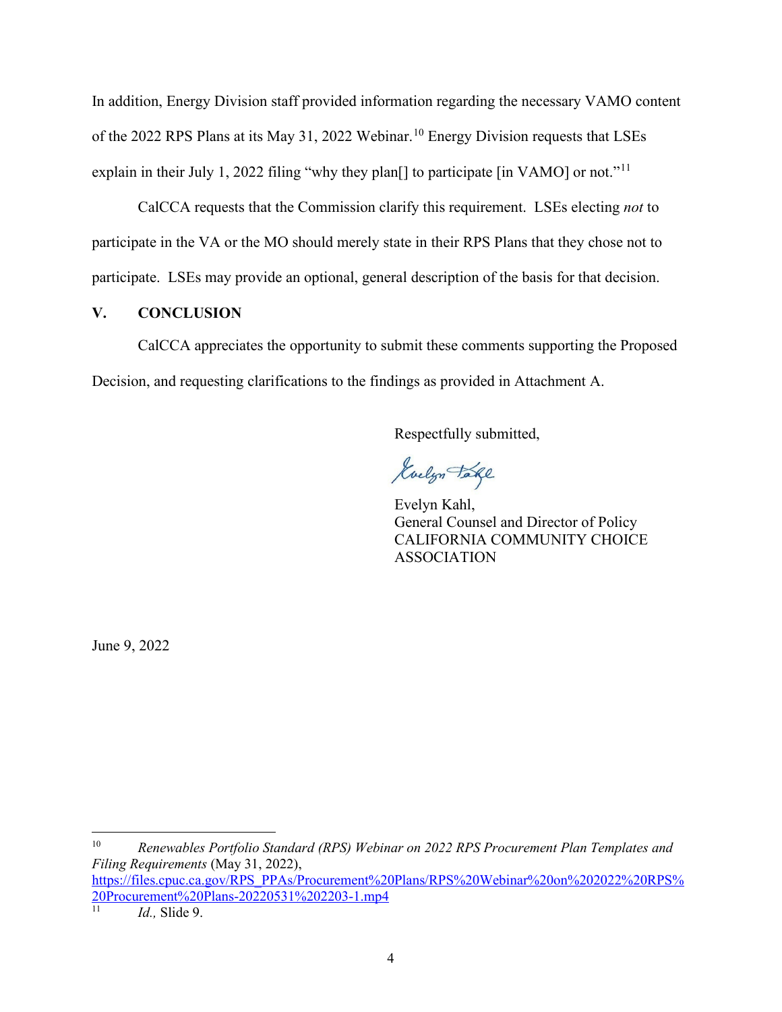In addition, Energy Division staff provided information regarding the necessary VAMO content of the 2022 RPS Plans at its May 31, 2022 Webinar.<sup>[10](#page-7-1)</sup> Energy Division requests that LSEs explain in their July 1, 2022 filing "why they plan<sup>[]</sup> to participate [in VAMO] or not."<sup>[11](#page-7-2)</sup>

CalCCA requests that the Commission clarify this requirement. LSEs electing *not* to participate in the VA or the MO should merely state in their RPS Plans that they chose not to participate. LSEs may provide an optional, general description of the basis for that decision.

#### <span id="page-7-0"></span>**V. CONCLUSION**

CalCCA appreciates the opportunity to submit these comments supporting the Proposed Decision, and requesting clarifications to the findings as provided in Attachment A.

Respectfully submitted,

Kuelyn Take

Evelyn Kahl, General Counsel and Director of Policy CALIFORNIA COMMUNITY CHOICE ASSOCIATION

June 9, 2022

<span id="page-7-1"></span>10 *Renewables Portfolio Standard (RPS) Webinar on 2022 RPS Procurement Plan Templates and Filing Requirements* (May 31, 2022),

https://files.cpuc.ca.gov/RPS\_PPAs/Procurement%20Plans/RPS%20Webinar%20on%202022%20RPS%  $\frac{20Procurement\%20Plans-20220531\%202203-1.mp4}{11}$ 

<span id="page-7-2"></span>*Id.*, Slide 9.